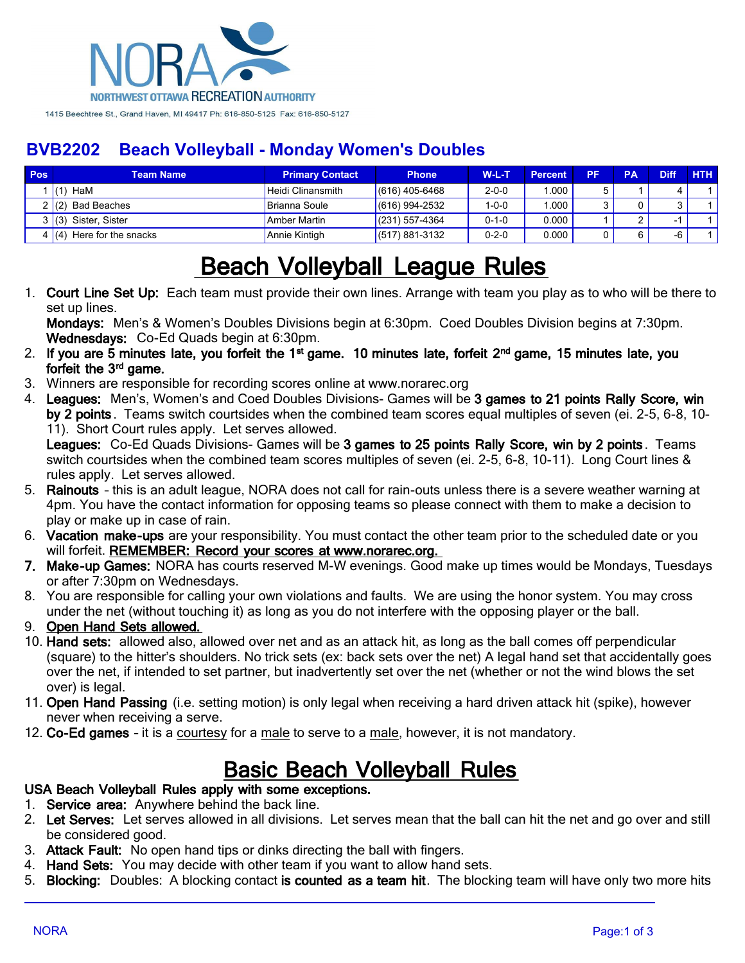

## **BVB2202 Beach Volleyball - Monday Women's Doubles**

| Pos | Team Name                   | <b>Primary Contact</b>   | <b>Phone</b>     | <b>W-L-T</b> | <b>Percent</b> | РF | PA | <b>Diff</b> | <b>HTH</b> |
|-----|-----------------------------|--------------------------|------------------|--------------|----------------|----|----|-------------|------------|
|     | HaM                         | <b>Heidi Clinansmith</b> | $(616)$ 405-6468 | $2 - 0 - 0$  | .000           |    |    |             |            |
|     | Bad Beaches                 | Brianna Soule            | $(616)$ 994-2532 | $1 - 0 - 0$  | .000           |    |    |             |            |
|     | Sister, Sister<br>3(3)      | Amber Martin             | $(231)$ 557-4364 | $0 - 1 - 0$  | 0.000          |    |    |             |            |
|     | 4 $(4)$ Here for the snacks | Annie Kintigh            | $(517)$ 881-3132 | $0 - 2 - 0$  | 0.000          |    |    | -6          |            |

# **Beach Volleyball League Rules**

1. **Court Line Set Up:** Each team must provide their own lines. Arrange with team you play as to who will be there to set up lines.

**Mondays:** Men's & Women's Doubles Divisions begin at 6:30pm. Coed Doubles Division begins at 7:30pm. **Wednesdays:** Co-Ed Quads begin at 6:30pm.

- 2. If you are 5 minutes late, you forfeit the 1<sup>st</sup> game. 10 minutes late, forfeit 2<sup>nd</sup> game, 15 minutes late, you forfeit the 3<sup>rd</sup> game.
- 3. Winners are responsible for recording scores online at www.norarec.org
- 4. **Leagues:** Men's, Women's and Coed Doubles Divisions- Games will be **3 games to 21 points Rally Score, win by 2 points** . Teams switch courtsides when the combined team scores equal multiples of seven (ei. 2-5, 6-8, 10- 11). Short Court rules apply. Let serves allowed.

**Leagues:** Co-Ed Quads Divisions- Games will be **3 games to 25 points Rally Score, win by 2 points** . Teams switch courtsides when the combined team scores multiples of seven (ei. 2-5, 6-8, 10-11). Long Court lines & rules apply. Let serves allowed.

- 5. **Rainouts** this is an adult league, NORA does not call for rain-outs unless there is a severe weather warning at 4pm. You have the contact information for opposing teams so please connect with them to make a decision to play or make up in case of rain.
- 6. **Vacation make-ups** are your responsibility. You must contact the other team prior to the scheduled date or you will forfeit. **REMEMBER: Record your scores at www.norarec.org.**
- **7. Make-up Games:** NORA has courts reserved M-W evenings. Good make up times would be Mondays, Tuesdays or after 7:30pm on Wednesdays.
- 8. You are responsible for calling your own violations and faults. We are using the honor system. You may cross under the net (without touching it) as long as you do not interfere with the opposing player or the ball.
- 9. **Open Hand Sets allowed.**
- 10. **Hand sets:** allowed also, allowed over net and as an attack hit, as long as the ball comes off perpendicular (square) to the hitter's shoulders. No trick sets (ex: back sets over the net) A legal hand set that accidentally goes over the net, if intended to set partner, but inadvertently set over the net (whether or not the wind blows the set over) is legal.
- 11. **Open Hand Passing** (i.e. setting motion) is only legal when receiving a hard driven attack hit (spike), however never when receiving a serve.
- 12. **Co-Ed games** it is a courtesy for a male to serve to a male, however, it is not mandatory.

## **Basic Beach Volleyball Rules**

### **USA Beach Volleyball Rules apply with some exceptions.**

- 1. **Service area:** Anywhere behind the back line.
- 2. **Let Serves:** Let serves allowed in all divisions. Let serves mean that the ball can hit the net and go over and still be considered good.
- 3. **Attack Fault:** No open hand tips or dinks directing the ball with fingers.
- 4. **Hand Sets:** You may decide with other team if you want to allow hand sets.
- 5. **Blocking:** Doubles: A blocking contact **is counted as a team hit**. The blocking team will have only two more hits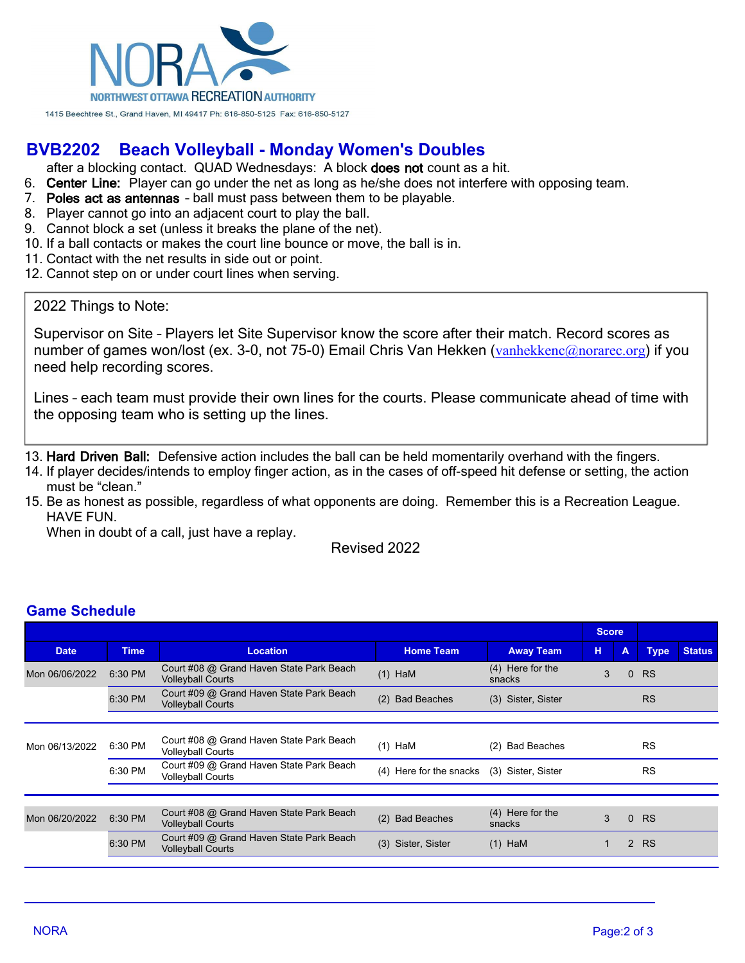

## **BVB2202 Beach Volleyball - Monday Women's Doubles**

after a blocking contact. QUAD Wednesdays: A block **does not** count as a hit.

- 6. **Center Line:** Player can go under the net as long as he/she does not interfere with opposing team.
- 7. **Poles act as antennas** ball must pass between them to be playable.
- 8. Player cannot go into an adjacent court to play the ball.
- 9. Cannot block a set (unless it breaks the plane of the net).
- 10. If a ball contacts or makes the court line bounce or move, the ball is in.
- 11. Contact with the net results in side out or point.
- 12. Cannot step on or under court lines when serving.

#### 2022 Things to Note:

Supervisor on Site – Players let Site Supervisor know the score after their match. Record scores as number of games won/lost (ex. 3-0, not 75-0) Email Chris Van Hekken ([vanhekkenc@norarec.org](mailto:vanhekkenc@norarec.org)) if you need help recording scores.

Lines – each team must provide their own lines for the courts. Please communicate ahead of time with the opposing team who is setting up the lines.

13. **Hard Driven Ball:** Defensive action includes the ball can be held momentarily overhand with the fingers.

- 14. If player decides/intends to employ finger action, as in the cases of off-speed hit defense or setting, the action must be "clean."
- 15. Be as honest as possible, regardless of what opponents are doing. Remember this is a Recreation League. HAVE FUN.

When in doubt of a call, just have a replay.

Revised 2022

#### **Game Schedule**

|                |             |                                                                      |                                            |                            | <b>Score</b>  |          |             |               |
|----------------|-------------|----------------------------------------------------------------------|--------------------------------------------|----------------------------|---------------|----------|-------------|---------------|
| <b>Date</b>    | <b>Time</b> | <b>Location</b>                                                      | <b>Home Team</b>                           | <b>Away Team</b>           | н             | A        | <b>Type</b> | <b>Status</b> |
| Mon 06/06/2022 | 6:30 PM     | Court #08 @ Grand Haven State Park Beach<br><b>Volleyball Courts</b> | $(1)$ HaM                                  | (4) Here for the<br>snacks | 3<br>$\Omega$ |          | <b>RS</b>   |               |
|                | 6:30 PM     | Court #09 @ Grand Haven State Park Beach<br><b>Volleyball Courts</b> | (2)<br><b>Bad Beaches</b>                  | (3) Sister, Sister         |               |          | <b>RS</b>   |               |
|                |             |                                                                      |                                            |                            |               |          |             |               |
| Mon 06/13/2022 | 6:30 PM     | Court #08 @ Grand Haven State Park Beach<br><b>Volleyball Courts</b> | $(1)$ HaM                                  | <b>Bad Beaches</b><br>(2)  |               |          | <b>RS</b>   |               |
|                | 6:30 PM     | Court #09 @ Grand Haven State Park Beach<br><b>Volleyball Courts</b> | (4) Here for the snacks (3) Sister, Sister |                            |               |          | <b>RS</b>   |               |
|                |             |                                                                      |                                            |                            |               |          |             |               |
| Mon 06/20/2022 | 6:30 PM     | Court #08 @ Grand Haven State Park Beach<br><b>Volleyball Courts</b> | <b>Bad Beaches</b><br>(2)                  | (4) Here for the<br>snacks | 3             | $\Omega$ | <b>RS</b>   |               |
|                | 6:30 PM     | Court #09 @ Grand Haven State Park Beach<br><b>Volleyball Courts</b> | (3) Sister, Sister                         | $(1)$ HaM                  |               |          | 2 RS        |               |
|                |             |                                                                      |                                            |                            |               |          |             |               |